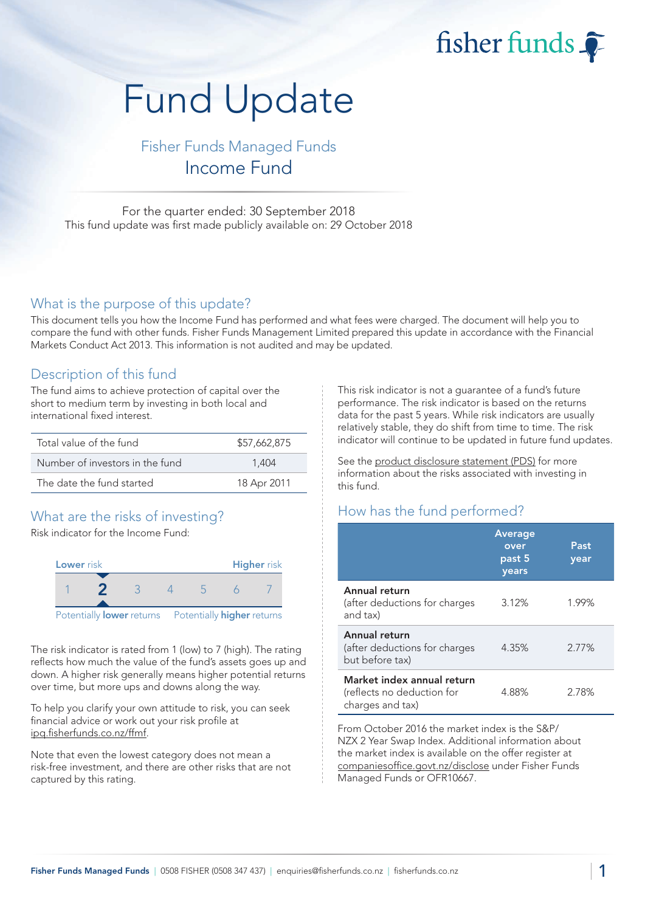# fisher funds

# Fund Update

# Fisher Funds Managed Funds Income Fund

For the quarter ended: 30 September 2018 This fund update was first made publicly available on: 29 October 2018

#### What is the purpose of this update?

This document tells you how the Income Fund has performed and what fees were charged. The document will help you to compare the fund with other funds. Fisher Funds Management Limited prepared this update in accordance with the Financial Markets Conduct Act 2013. This information is not audited and may be updated.

### Description of this fund

The fund aims to achieve protection of capital over the short to medium term by investing in both local and international fixed interest.

| Total value of the fund         | \$57,662,875 |
|---------------------------------|--------------|
| Number of investors in the fund | 1.404        |
| The date the fund started       | 18 Apr 2011  |

# What are the risks of investing?

Risk indicator for the Income Fund:



The risk indicator is rated from 1 (low) to 7 (high). The rating reflects how much the value of the fund's assets goes up and down. A higher risk generally means higher potential returns over time, but more ups and downs along the way.

To help you clarify your own attitude to risk, you can seek financial advice or work out your risk profile at [ipq.fisherfunds.co.nz/ffmf.](https://ipq.fisherfunds.co.nz/ffmf)

Note that even the lowest category does not mean a risk-free investment, and there are other risks that are not captured by this rating.

This risk indicator is not a guarantee of a fund's future performance. The risk indicator is based on the returns data for the past 5 years. While risk indicators are usually relatively stable, they do shift from time to time. The risk indicator will continue to be updated in future fund updates.

See the [product disclosure statement \(PDS\)](https://fisherfunds.co.nz/assets/PDS/Fisher-Funds-Managed-Funds-PDS.pdf) for more information about the risks associated with investing in this fund.

# How has the fund performed?

|                                                                              | Average<br>over<br>past 5<br>years | Past<br>year |
|------------------------------------------------------------------------------|------------------------------------|--------------|
| Annual return<br>(after deductions for charges<br>and tax)                   | 3.12%                              | 1.99%        |
| Annual return<br>(after deductions for charges<br>but before tax)            | 4.35%                              | 2.77%        |
| Market index annual return<br>(reflects no deduction for<br>charges and tax) | 4.88%                              | 2.78%        |

From October 2016 the market index is the S&P/ NZX 2 Year Swap Index. Additional information about the market index is available on the offer register at [companiesoffice.govt.nz/disclose](http://companiesoffice.govt.nz/disclose) under Fisher Funds Managed Funds or OFR10667.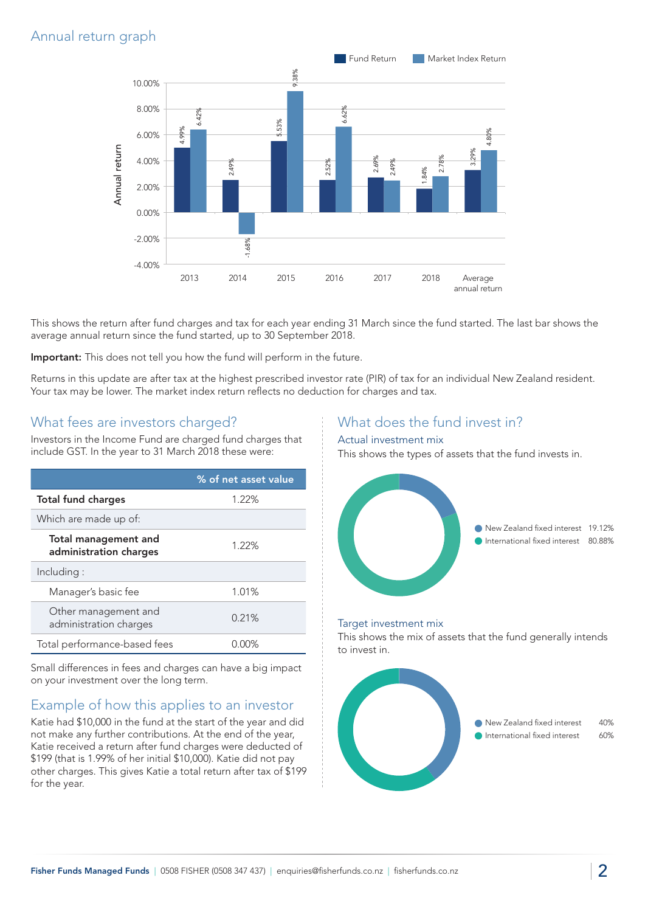## Annual return graph



This shows the return after fund charges and tax for each year ending 31 March since the fund started. The last bar shows the average annual return since the fund started, up to 30 September 2018.

Important: This does not tell you how the fund will perform in the future.

Returns in this update are after tax at the highest prescribed investor rate (PIR) of tax for an individual New Zealand resident. Your tax may be lower. The market index return reflects no deduction for charges and tax.

#### What fees are investors charged?

Investors in the Income Fund are charged fund charges that include GST. In the year to 31 March 2018 these were:

|                                                | % of net asset value |
|------------------------------------------------|----------------------|
| <b>Total fund charges</b>                      | 1.22%                |
| Which are made up of:                          |                      |
| Total management and<br>administration charges | 1.22%                |
| Including:                                     |                      |
| Manager's basic fee                            | 1.01%                |
| Other management and<br>administration charges | 0.21%                |
| Total performance-based fees                   |                      |

Small differences in fees and charges can have a big impact on your investment over the long term.

### Example of how this applies to an investor

Katie had \$10,000 in the fund at the start of the year and did not make any further contributions. At the end of the year, Katie received a return after fund charges were deducted of \$199 (that is 1.99% of her initial \$10,000). Katie did not pay other charges. This gives Katie a total return after tax of \$199 for the year.

#### What does the fund invest in?

#### Actual investment mix

This shows the types of assets that the fund invests in.



#### Target investment mix

This shows the mix of assets that the fund generally intends to invest in.